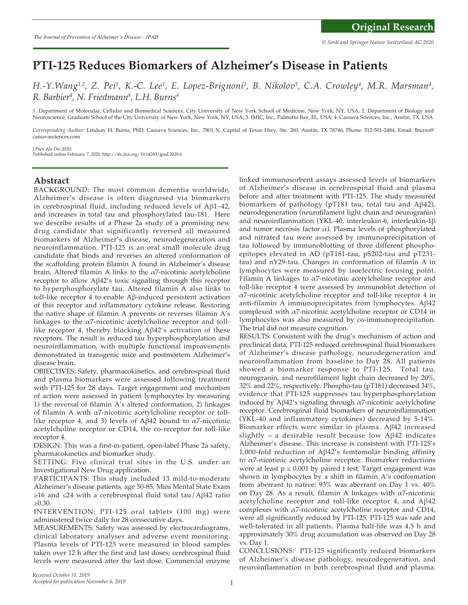# **PTI-125 Reduces Biomarkers of Alzheimer's Disease in Patients**

H.-Y.Wang<sup>1,2</sup>, Z. Pei<sup>1</sup>, K.-C. Lee<sup>1</sup>, E. Lopez-Brignoni<sup>3</sup>, B. Nikolov<sup>3</sup>, C.A. Crowley<sup>4</sup>, M.R. Marsman<sup>4</sup>, *R. Barbier4 , N. Friedmann4 , L.H. Burns4*

1. Department of Molecular, Cellular and Biomedical Sciences, City University of New York School of Medicine, New York, NY, USA; 2. Department of Biology and Neuroscience, Graduate School of the City University of New York, New York, NY, USA; 3. IMIC, Inc., Palmetto Bay, FL, USA; 4. Cassava Sciences, Inc., Austin, TX, USA

*Corresponding Author:* Lindsay H. Burns, PhD, Cassava Sciences, Inc., 7801 N. Capital of Texas Hwy, Ste. 260, Austin, TX 78746, Phone: 512-501-2484, Email: lburns@ cassavasciences.com

J Prev Alz Dis 2020; Published online February 7, 2020, http://dx.doi.org/10.14283/jpad.2020.6

# **Abstract**

BACKGROUND: The most common dementia worldwide, Alzheimer's disease is often diagnosed via biomarkers in cerebrospinal fluid, including reduced levels of Aβ1–42, and increases in total tau and phosphorylated tau-181. Here we describe results of a Phase 2a study of a promising new drug candidate that significantly reversed all measured biomarkers of Alzheimer's disease, neurodegeneration and neuroinflammation. PTI-125 is an oral small molecule drug candidate that binds and reverses an altered conformation of the scaffolding protein filamin A found in Alzheimer's disease brain. Altered filamin A links to the  $\alpha$ 7-nicotinic acetylcholine receptor to allow Aβ42's toxic signaling through this receptor to hyperphosphorylate tau. Altered filamin A also links to toll-like receptor 4 to enable Aβ-induced persistent activation of this receptor and inflammatory cytokine release. Restoring the native shape of filamin A prevents or reverses filamin A's linkages to the  $\alpha$ 7-nicotinic acetylcholine receptor and tolllike receptor 4, thereby blocking Aβ42's activation of these receptors. The result is reduced tau hyperphosphorylation and neuroinflammation, with multiple functional improvements demonstrated in transgenic mice and postmortem Alzheimer's disease brain.

OBJECTIVES: Safety, pharmacokinetics, and cerebrospinal fluid and plasma biomarkers were assessed following treatment with PTI-125 for 28 days. Target engagement and mechanism of action were assessed in patient lymphocytes by measuring 1) the reversal of filamin A's altered conformation, 2) linkages of filamin A with  $\alpha$ 7-nicotinic acetylcholine receptor or tolllike receptor 4, and 3) levels of Aβ42 bound to  $α7$ -nicotinic acetylcholine receptor or CD14, the co-receptor for toll-like receptor 4.

DESIGN: This was a first-in-patient, open-label Phase 2a safety, pharmacokinetics and biomarker study.

SETTING: Five clinical trial sites in the U.S. under an Investigational New Drug application.

PARTICIPANTS: This study included 13 mild-to-moderate Alzheimer's disease patients, age 50-85, Mini Mental State Exam  $≥16$  and ≤24 with a cerebrospinal fluid total tau/Aβ42 ratio ≥0.30.

INTERVENTION: PTI-125 oral tablets (100 mg) were administered twice daily for 28 consecutive days.

MEASUREMENTS: Safety was assessed by electrocardiograms, clinical laboratory analyses and adverse event monitoring. Plasma levels of PTI-125 were measured in blood samples taken over 12 h after the first and last doses; cerebrospinal fluid levels were measured after the last dose. Commercial enzyme linked immunosorbent assays assessed levels of biomarkers of Alzheimer's disease in cerebrospinal fluid and plasma before and after treatment with PTI-125. The study measured biomarkers of pathology (pT181 tau, total tau and Aβ42), neurodegeneration (neurofilament light chain and neurogranin) and neuroinflammation (YKL-40, interleukin-6, interleukin-1β and tumor necrosis factor  $\alpha$ ). Plasma levels of phosphorylated and nitrated tau were assessed by immunoprecipitation of tau followed by immunoblotting of three different phosphoepitopes elevated in AD (pT181-tau, pS202-tau and pT231 tau) and nY29-tau. Changes in conformation of filamin A in lymphocytes were measured by isoelectric focusing point. Filamin A linkages to  $\alpha$ 7-nicotinic acetylcholine receptor and toll-like receptor 4 were assessed by immunoblot detection of  $\alpha$ 7-nicotinic acetylcholine receptor and toll-like receptor 4 in anti-filamin A immunoprecipitates from lymphocytes. Aβ42 complexed with  $\alpha$ 7-nicotinic acetylcholine receptor or CD14 in lymphocytes was also measured by co-immunoprecipitation. The trial did not measure cognition.

RESULTS: Consistent with the drug's mechanism of action and preclinical data, PTI-125 reduced cerebrospinal fluid biomarkers of Alzheimer's disease pathology, neurodegeneration and neuroinflammation from baseline to Day 28. All patients showed a biomarker response to PTI-125. Total tau, neurogranin, and neurofilament light chain decreased by 20%, 32% and 22%, respectively. Phospho-tau (pT181) decreased 34%, evidence that PTI-125 suppresses tau hyperphosphorylation induced by Aβ42's signaling through α7-nicotinic acetylcholine receptor. Cerebrospinal fluid biomarkers of neuroinflammation (YKL-40 and inflammatory cytokines) decreased by 5-14%. Biomarker effects were similar in plasma. Aβ42 increased slightly – a desirable result because low  $A\beta$ 42 indicates Alzheimer's disease. This increase is consistent with PTI-125's 1,000-fold reduction of Aβ42's femtomolar binding affinity to α7-nicotinic acetylcholine receptor. Biomarker reductions were at least  $p \le 0.001$  by paired t test. Target engagement was shown in lymphocytes by a shift in filamin A's conformation from aberrant to native:  $93\%$  was aberrant on Day 1 vs.  $40\%$ on Day 28. As a result, filamin A linkages with  $\alpha$ 7-nicotinic acetylcholine receptor and toll-like receptor 4, and Aβ42 complexes with α7-nicotinic acetylcholine receptor and CD14, were all significantly reduced by PTI-125. PTI-125 was safe and well-tolerated in all patients. Plasma half-life was 4.5 h and approximately 30% drug accumulation was observed on Day 28 vs. Day 1.

CONCLUSIONS: PTI-125 significantly reduced biomarkers of Alzheimer's disease pathology, neurodegeneration, and neuroinflammation in both cerebrospinal fluid and plasma.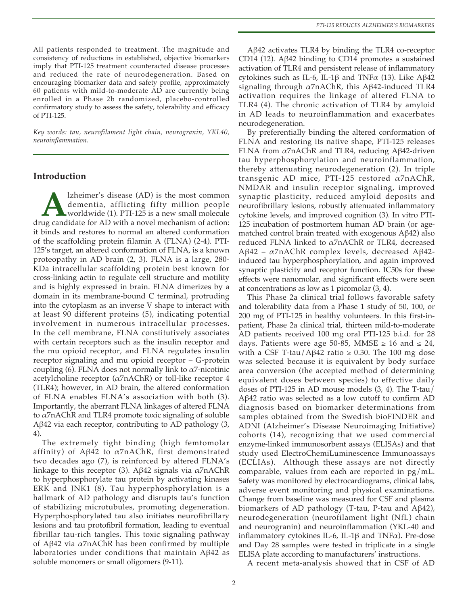All patients responded to treatment. The magnitude and consistency of reductions in established, objective biomarkers imply that PTI-125 treatment counteracted disease processes and reduced the rate of neurodegeneration. Based on encouraging biomarker data and safety profile, approximately 60 patients with mild-to-moderate AD are currently being enrolled in a Phase 2b randomized, placebo-controlled confirmatory study to assess the safety, tolerability and efficacy of PTI-125.

*Key words: tau, neurofilament light chain, neurogranin, YKL40, neuroinflammation.*

# **Introduction**

**A** lzheimer's disease (AD) is the most common dementia, afflicting fifty million people worldwide (1). PTI-125 is a new small molecule ug candidate for AD with a novel mechanism of action: dementia, afflicting fifty million people worldwide (1). PTI-125 is a new small molecule drug candidate for AD with a novel mechanism of action: it binds and restores to normal an altered conformation of the scaffolding protein filamin A (FLNA) (2-4). PTI-125's target, an altered conformation of FLNA, is a known proteopathy in AD brain (2, 3). FLNA is a large, 280- KDa intracellular scaffolding protein best known for cross-linking actin to regulate cell structure and motility and is highly expressed in brain. FLNA dimerizes by a domain in its membrane-bound C terminal, protruding into the cytoplasm as an inverse V shape to interact with at least 90 different proteins (5), indicating potential involvement in numerous intracellular processes. In the cell membrane, FLNA constitutively associates with certain receptors such as the insulin receptor and the mu opioid receptor, and FLNA regulates insulin receptor signaling and mu opioid receptor – G-protein coupling (6). FLNA does not normally link to  $\alpha$ 7-nicotinic acetylcholine receptor  $(\alpha 7n\Lambda ChR)$  or toll-like receptor 4 (TLR4); however, in AD brain, the altered conformation of FLNA enables FLNA's association with both (3). Importantly, the aberrant FLNA linkages of altered FLNA to α7nAChR and TLR4 promote toxic signaling of soluble Aβ42 via each receptor, contributing to AD pathology (3, 4).

The extremely tight binding (high femtomolar affinity) of Aβ42 to α7nAChR, first demonstrated two decades ago (7), is reinforced by altered FLNA's linkage to this receptor (3). Aβ42 signals via  $α7nAChR$ to hyperphosphorylate tau protein by activating kinases ERK and JNK1 (8). Tau hyperphosphorylation is a hallmark of AD pathology and disrupts tau's function of stabilizing microtubules, promoting degeneration. Hyperphosphorylated tau also initiates neurofibrillary lesions and tau protofibril formation, leading to eventual fibrillar tau-rich tangles. This toxic signaling pathway of Aβ42 via α7nAChR has been confirmed by multiple laboratories under conditions that maintain Aβ42 as soluble monomers or small oligomers (9-11).

Aβ42 activates TLR4 by binding the TLR4 co-receptor CD14 (12). Aβ42 binding to CD14 promotes a sustained activation of TLR4 and persistent release of inflammatory cytokines such as IL-6, IL-1β and TNFα (13). Like Aβ42 signaling through α7nAChR, this Aβ42-induced TLR4 activation requires the linkage of altered FLNA to TLR4 (4). The chronic activation of TLR4 by amyloid in AD leads to neuroinflammation and exacerbates neurodegeneration.

By preferentially binding the altered conformation of FLNA and restoring its native shape, PTI-125 releases FLNA from α7nAChR and TLR4, reducing Aβ42-driven tau hyperphosphorylation and neuroinflammation, thereby attenuating neurodegeneration (2). In triple transgenic AD mice, PTI-125 restored α7nAChR, NMDAR and insulin receptor signaling, improved synaptic plasticity, reduced amyloid deposits and neurofibrillary lesions, robustly attenuated inflammatory cytokine levels, and improved cognition (3). In vitro PTI-125 incubation of postmortem human AD brain (or agematched control brain treated with exogenous Aβ42) also reduced FLNA linked to  $\alpha$ 7nAChR or TLR4, decreased Aβ42 – α7nAChR complex levels, decreased Aβ42 induced tau hyperphosphorylation, and again improved synaptic plasticity and receptor function. IC50s for these effects were nanomolar, and significant effects were seen at concentrations as low as 1 picomolar (3, 4).

This Phase 2a clinical trial follows favorable safety and tolerability data from a Phase 1 study of 50, 100, or 200 mg of PTI-125 in healthy volunteers. In this first-inpatient, Phase 2a clinical trial, thirteen mild-to-moderate AD patients received 100 mg oral PTI-125 b.i.d. for 28 days. Patients were age 50-85, MMSE  $\geq 16$  and  $\leq 24$ , with a CSF T-tau/Aβ42 ratio ≥ 0.30. The 100 mg dose was selected because it is equivalent by body surface area conversion (the accepted method of determining equivalent doses between species) to effective daily doses of PTI-125 in AD mouse models (3, 4). The T-tau/ Aβ42 ratio was selected as a low cutoff to confirm AD diagnosis based on biomarker determinations from samples obtained from the Swedish bioFINDER and ADNI (Alzheimer's Disease Neuroimaging Initiative) cohorts (14), recognizing that we used commercial enzyme-linked immunosorbent assays (ELISAs) and that study used ElectroChemiLuminescence Immunoassays (ECLIAs). Although these assays are not directly comparable, values from each are reported in pg/mL. Safety was monitored by electrocardiograms, clinical labs, adverse event monitoring and physical examinations. Change from baseline was measured for CSF and plasma biomarkers of AD pathology (T-tau, P-tau and Aβ42), neurodegeneration (neurofilament light (NfL) chain and neurogranin) and neuroinflammation (YKL-40 and inflammatory cytokines IL-6, IL-1β and TNF $α$ ). Pre-dose and Day 28 samples were tested in triplicate in a single ELISA plate according to manufacturers' instructions.

A recent meta-analysis showed that in CSF of AD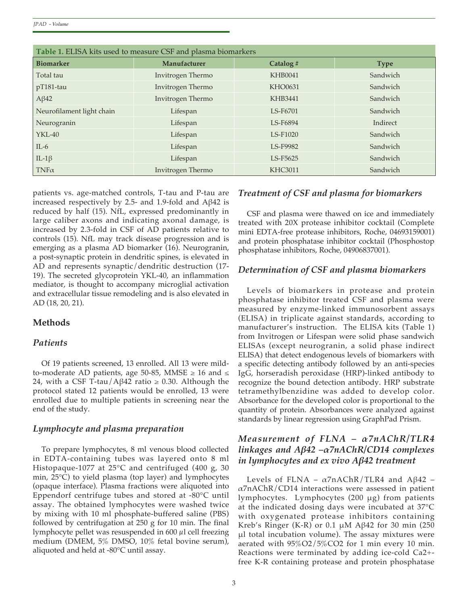*JPAD - Volume*

| Table 1. ELISA kits used to measure CSF and plasma biomarkers |                   |                 |             |  |  |  |  |  |  |
|---------------------------------------------------------------|-------------------|-----------------|-------------|--|--|--|--|--|--|
| <b>Biomarker</b>                                              | Manufacturer      | Catalog#        | <b>Type</b> |  |  |  |  |  |  |
| Total tau                                                     | Invitrogen Thermo | <b>KHB0041</b>  | Sandwich    |  |  |  |  |  |  |
| $pT181$ -tau                                                  | Invitrogen Thermo | <b>KHO0631</b>  | Sandwich    |  |  |  |  |  |  |
| $A\beta42$                                                    | Invitrogen Thermo | <b>KHB3441</b>  | Sandwich    |  |  |  |  |  |  |
| Neurofilament light chain                                     | Lifespan          | LS-F6701        | Sandwich    |  |  |  |  |  |  |
| Neurogranin                                                   | Lifespan          | LS-F6894        | Indirect    |  |  |  |  |  |  |
| $YKL-40$                                                      | Lifespan          | LS-F1020        | Sandwich    |  |  |  |  |  |  |
| $IL-6$                                                        | Lifespan          | <b>LS-F9982</b> | Sandwich    |  |  |  |  |  |  |
| IL-1 $\beta$                                                  | Lifespan          | LS-F5625        | Sandwich    |  |  |  |  |  |  |
| $TNF\alpha$                                                   | Invitrogen Thermo | <b>KHC3011</b>  | Sandwich    |  |  |  |  |  |  |

patients vs. age-matched controls, T-tau and P-tau are increased respectively by 2.5- and 1.9-fold and Aβ42 is reduced by half (15). NfL, expressed predominantly in large caliber axons and indicating axonal damage, is increased by 2.3-fold in CSF of AD patients relative to controls (15). NfL may track disease progression and is emerging as a plasma AD biomarker (16). Neurogranin, a post-synaptic protein in dendritic spines, is elevated in AD and represents synaptic/dendritic destruction (17- 19). The secreted glycoprotein YKL-40, an inflammation mediator, is thought to accompany microglial activation and extracellular tissue remodeling and is also elevated in AD (18, 20, 21).

# **Methods**

#### *Patients*

Of 19 patients screened, 13 enrolled. All 13 were mildto-moderate AD patients, age 50-85, MMSE  $\geq 16$  and  $\leq$ 24, with a CSF T-tau/Aβ42 ratio  $\geq$  0.30. Although the protocol stated 12 patients would be enrolled, 13 were enrolled due to multiple patients in screening near the end of the study.

#### *Lymphocyte and plasma preparation*

To prepare lymphocytes, 8 ml venous blood collected in EDTA-containing tubes was layered onto 8 ml Histopaque-1077 at 25°C and centrifuged (400 g, 30 min, 25°C) to yield plasma (top layer) and lymphocytes (opaque interface). Plasma fractions were aliquoted into Eppendorf centrifuge tubes and stored at -80°C until assay. The obtained lymphocytes were washed twice by mixing with 10 ml phosphate-buffered saline (PBS) followed by centrifugation at 250 g for 10 min. The final lymphocyte pellet was resuspended in 600 µl cell freezing medium (DMEM, 5% DMSO, 10% fetal bovine serum), aliquoted and held at -80°C until assay.

### *Treatment of CSF and plasma for biomarkers*

CSF and plasma were thawed on ice and immediately treated with 20X protease inhibitor cocktail (Complete mini EDTA-free protease inhibitors, Roche, 04693159001) and protein phosphatase inhibitor cocktail (Phosphostop phosphatase inhibitors, Roche, 04906837001).

#### *Determination of CSF and plasma biomarkers*

Levels of biomarkers in protease and protein phosphatase inhibitor treated CSF and plasma were measured by enzyme-linked immunosorbent assays (ELISA) in triplicate against standards, according to manufacturer's instruction. The ELISA kits (Table 1) from Invitrogen or Lifespan were solid phase sandwich ELISAs (except neurogranin, a solid phase indirect ELISA) that detect endogenous levels of biomarkers with a specific detecting antibody followed by an anti-species IgG, horseradish peroxidase (HRP)-linked antibody to recognize the bound detection antibody. HRP substrate tetramethylbenzidine was added to develop color. Absorbance for the developed color is proportional to the quantity of protein. Absorbances were analyzed against standards by linear regression using GraphPad Prism.

# *Measurement of FLNA – α7nAChR/TLR4 linkages and Aβ42 –α7nAChR/CD14 complexes in lymphocytes and ex vivo Aβ42 treatment*

Levels of FLNA –  $\alpha$ 7nAChR/TLR4 and Aβ42 –  $\alpha$ 7nAChR/CD14 interactions were assessed in patient lymphocytes. Lymphocytes (200 μg) from patients at the indicated dosing days were incubated at 37°C with oxygenated protease inhibitors containing Kreb's Ringer (K-R) or 0.1  $\mu$ M A $\beta$ 42 for 30 min (250 μl total incubation volume). The assay mixtures were aerated with 95%O2/5%CO2 for 1 min every 10 min. Reactions were terminated by adding ice-cold Ca2+ free K-R containing protease and protein phosphatase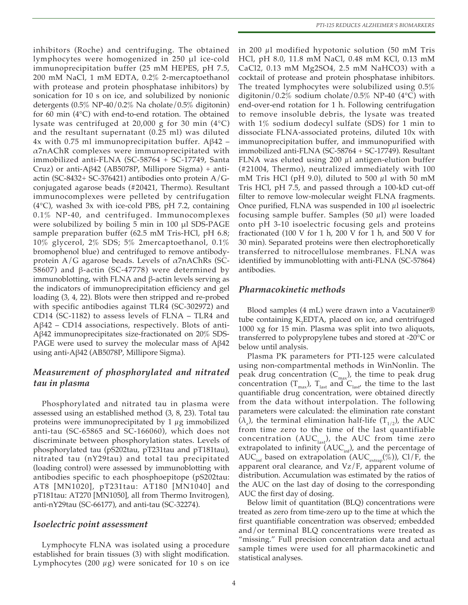inhibitors (Roche) and centrifuging. The obtained lymphocytes were homogenized in 250 μl ice-cold immunoprecipitation buffer (25 mM HEPES, pH 7.5, 200 mM NaCl, 1 mM EDTA, 0.2% 2-mercaptoethanol with protease and protein phosphatase inhibitors) by sonication for 10 s on ice, and solubilized by nonionic detergents (0.5% NP-40/0.2% Na cholate/0.5% digitonin) for 60 min (4°C) with end-to-end rotation. The obtained lysate was centrifuged at 20,000 g for 30 min (4°C) and the resultant supernatant (0.25 ml) was diluted 4x with 0.75 ml immunoprecipitation buffer.  $A\beta$ 42 – α7nAChR complexes were immunoprecipitated with immobilized anti-FLNA (SC-58764 + SC-17749, Santa Cruz) or anti-Aβ42 (AB5078P, Millipore Sigma) + antiactin (SC-8432+ SC-376421) antibodies onto protein  $A/G$ conjugated agarose beads (#20421, Thermo). Resultant immunocomplexes were pelleted by centrifugation (4°C), washed 3x with ice-cold PBS, pH 7.2, containing 0.1% NP-40, and centrifuged. Immunocomplexes were solubilized by boiling 5 min in 100 μl SDS-PAGE sample preparation buffer (62.5 mM Tris-HCl, pH 6.8; 10% glycerol, 2% SDS; 5% 2mercaptoethanol, 0.1% bromophenol blue) and centrifuged to remove antibodyprotein  $A/G$  agarose beads. Levels of  $\alpha$ 7nAChRs (SC-58607) and β-actin (SC-47778) were determined by immunoblotting, with FLNA and β-actin levels serving as the indicators of immunoprecipitation efficiency and gel loading (3, 4, 22). Blots were then stripped and re-probed with specific antibodies against TLR4 (SC-302972) and CD14 (SC-1182) to assess levels of FLNA – TLR4 and  $A\beta$ 42 – CD14 associations, respectively. Blots of anti-Aβ42 immunoprecipitates size-fractionated on 20% SDS-PAGE were used to survey the molecular mass of Aβ42 using anti-Aβ42 (AB5078P, Millipore Sigma).

# *Measurement of phosphorylated and nitrated tau in plasma*

Phosphorylated and nitrated tau in plasma were assessed using an established method (3, 8, 23). Total tau proteins were immunoprecipitated by  $1 \mu$ g immobilized anti-tau (SC-65865 and SC-166060), which does not discriminate between phosphorylation states. Levels of phosphorylated tau (pS202tau, pT231tau and pT181tau), nitrated tau (nY29tau) and total tau precipitated (loading control) were assessed by immunoblotting with antibodies specific to each phosphoepitope (pS202tau: AT8 [MN1020], pT231tau: AT180 [MN1040] and pT181tau: AT270 [MN1050], all from Thermo Invitrogen), anti-nY29tau (SC-66177), and anti-tau (SC-32274).

#### *Isoelectric point assessment*

Lymphocyte FLNA was isolated using a procedure established for brain tissues (3) with slight modification. Lymphocytes  $(200 \mu g)$  were sonicated for 10 s on ice

in 200  $\mu$ l modified hypotonic solution (50 mM Tris HCl, pH 8.0, 11.8 mM NaCl, 0.48 mM KCl, 0.13 mM CaCl2, 0.13 mM Mg2SO4, 2.5 mM NaHCO3) with a cocktail of protease and protein phosphatase inhibitors. The treated lymphocytes were solubilized using 0.5% digitonin/0.2% sodium cholate/0.5% NP-40 (4 $\degree$ C) with end-over-end rotation for 1 h. Following centrifugation to remove insoluble debris, the lysate was treated with 1% sodium dodecyl sulfate (SDS) for 1 min to dissociate FLNA-associated proteins, diluted 10x with immunoprecipitation buffer, and immunopurified with immobilized anti-FLNA (SC-58764 + SC-17749). Resultant FLNA was eluted using 200  $\mu$ l antigen-elution buffer (#21004, Thermo), neutralized immediately with 100 mM Tris HCl (pH 9.0), diluted to 500  $\mu$ l with 50 mM Tris HCl, pH 7.5, and passed through a 100-kD cut-off filter to remove low-molecular weight FLNA fragments. Once purified, FLNA was suspended in 100  $\mu$ l isoelectric focusing sample buffer. Samples  $(50 \mu l)$  were loaded onto pH 3-10 isoelectric focusing gels and proteins fractionated (100 V for 1 h, 200 V for 1 h, and 500 V for 30 min). Separated proteins were then electrophoretically transferred to nitrocellulose membranes. FLNA was identified by immunoblotting with anti-FLNA (SC-57864) antibodies.

#### *Pharmacokinetic methods*

Blood samples (4 mL) were drawn into a Vacutainer® tube containing  $K_2$ EDTA, placed on ice, and centrifuged 1000 xg for 15 min. Plasma was split into two aliquots, transferred to polypropylene tubes and stored at -20°C or below until analysis.

Plasma PK parameters for PTI-125 were calculated using non-compartmental methods in WinNonlin. The peak drug concentration  $(C_{\text{max}})$ , the time to peak drug concentration ( $T_{\text{max}}$ ),  $T_{\text{last}}$  and  $C_{\text{last}}$ , the time to the last quantifiable drug concentration, were obtained directly from the data without interpolation. The following parameters were calculated: the elimination rate constant  $(\lambda_z)$ , the terminal elimination half-life  $(T_{1/2})$ , the AUC from time zero to the time of the last quantifiable concentration ( $AUC<sub>last</sub>$ ), the AUC from time zero extrapolated to infinity ( $AUC_{int}$ ), and the percentage of AUC<sub>inf</sub> based on extrapolation (AUC<sub>extrap</sub>(%)), Cl/F, the apparent oral clearance, and  $Vz/F$ , apparent volume of distribution. Accumulation was estimated by the ratios of the AUC on the last day of dosing to the corresponding AUC the first day of dosing.

Below limit of quantitation (BLQ) concentrations were treated as zero from time-zero up to the time at which the first quantifiable concentration was observed; embedded and/or terminal BLQ concentrations were treated as "missing." Full precision concentration data and actual sample times were used for all pharmacokinetic and statistical analyses.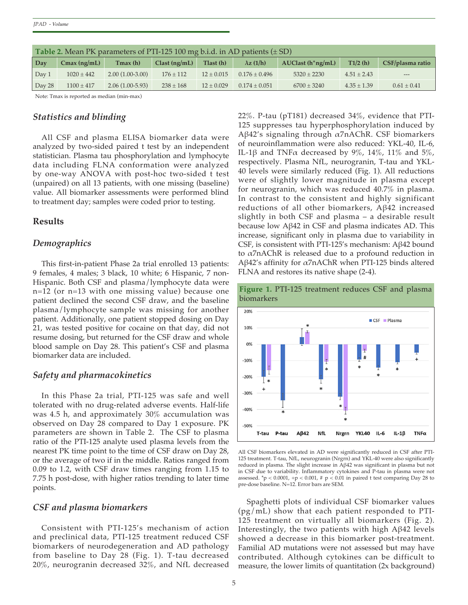| <b>Table 2.</b> Mean PK parameters of PTI-125 100 mg b.i.d. in AD patients $(\pm SD)$ |                |                   |               |                |                  |                    |                 |                  |  |  |
|---------------------------------------------------------------------------------------|----------------|-------------------|---------------|----------------|------------------|--------------------|-----------------|------------------|--|--|
| <b>Day</b>                                                                            | $Cmax$ (ng/mL) | Tmax(h)           | Clast(np/mL)  | Tlast (h)      | $\lambda z(1/h)$ | $AUClast(h*ng/mL)$ | T1/2(h)         | CSF/plasma ratio |  |  |
| Day 1                                                                                 | $1020 \pm 442$ | $2.00(1.00-3.00)$ | $176 \pm 112$ | $12 \pm 0.015$ | $0.176 + 0.496$  | $5320 \pm 2230$    | $4.51 \pm 2.43$ | $---$            |  |  |
| Day 28                                                                                | $1100 \pm 417$ | $2.06(1.00-5.93)$ | $238 \pm 168$ | $12 \pm 0.029$ | $0.174 + 0.051$  | $6700 \pm 3240$    | $4.35 \pm 1.39$ | $0.61 \pm 0.41$  |  |  |

Note: Tmax is reported as median (min-max)

#### *Statistics and blinding*

All CSF and plasma ELISA biomarker data were analyzed by two-sided paired t test by an independent statistician. Plasma tau phosphorylation and lymphocyte data including FLNA conformation were analyzed by one-way ANOVA with post-hoc two-sided t test (unpaired) on all 13 patients, with one missing (baseline) value. All biomarker assessments were performed blind to treatment day; samples were coded prior to testing.

#### **Results**

#### *Demographics*

This first-in-patient Phase 2a trial enrolled 13 patients: 9 females, 4 males; 3 black, 10 white; 6 Hispanic, 7 non-Hispanic. Both CSF and plasma/lymphocyte data were n=12 (or n=13 with one missing value) because one patient declined the second CSF draw, and the baseline plasma/lymphocyte sample was missing for another patient. Additionally, one patient stopped dosing on Day 21, was tested positive for cocaine on that day, did not resume dosing, but returned for the CSF draw and whole blood sample on Day 28. This patient's CSF and plasma biomarker data are included.

#### *Safety and pharmacokinetics*

In this Phase 2a trial, PTI-125 was safe and well tolerated with no drug-related adverse events. Half-life was 4.5 h, and approximately 30% accumulation was observed on Day 28 compared to Day 1 exposure. PK parameters are shown in Table 2. The CSF to plasma ratio of the PTI-125 analyte used plasma levels from the nearest PK time point to the time of CSF draw on Day 28, or the average of two if in the middle. Ratios ranged from 0.09 to 1.2, with CSF draw times ranging from 1.15 to 7.75 h post-dose, with higher ratios trending to later time points.

#### *CSF and plasma biomarkers*

Consistent with PTI-125's mechanism of action and preclinical data, PTI-125 treatment reduced CSF biomarkers of neurodegeneration and AD pathology from baseline to Day 28 (Fig. 1). T-tau decreased 20%, neurogranin decreased 32%, and NfL decreased

22%. P-tau (pT181) decreased 34%, evidence that PTI-125 suppresses tau hyperphosphorylation induced by Aβ42's signaling through α7nAChR. CSF biomarkers of neuroinflammation were also reduced: YKL-40, IL-6, IL-1β and TNF $\alpha$  decreased by 9%, 14%, 11% and 5%, respectively. Plasma NfL, neurogranin, T-tau and YKL-40 levels were similarly reduced (Fig. 1). All reductions were of slightly lower magnitude in plasma except for neurogranin, which was reduced 40.7% in plasma. In contrast to the consistent and highly significant reductions of all other biomarkers, Aβ42 increased slightly in both CSF and plasma – a desirable result because low Aβ42 in CSF and plasma indicates AD. This increase, significant only in plasma due to variability in CSF, is consistent with PTI-125's mechanism: Aβ42 bound to α7nAChR is released due to a profound reduction in Aβ42's affinity for α7nAChR when PTI-125 binds altered FLNA and restores its native shape (2-4).



All CSF biomarkers elevated in AD were significantly reduced in CSF after PTI-125 treatment. T-tau, NfL, neurogranin (Nrgrn) and YKL-40 were also significantly reduced in plasma. The slight increase in Aβ42 was significant in plasma but not in CSF due to variability. Inflammatory cytokines and P-tau in plasma were not assessed. \*p < 0.0001, +p < 0.001, # p < 0.01 in paired t test comparing Day 28 to pre-dose baseline. N=12. Error bars are SEM.

Spaghetti plots of individual CSF biomarker values (pg/mL) show that each patient responded to PTI-125 treatment on virtually all biomarkers (Fig. 2). Interestingly, the two patients with high Aβ42 levels showed a decrease in this biomarker post-treatment. Familial AD mutations were not assessed but may have contributed. Although cytokines can be difficult to measure, the lower limits of quantitation (2x background)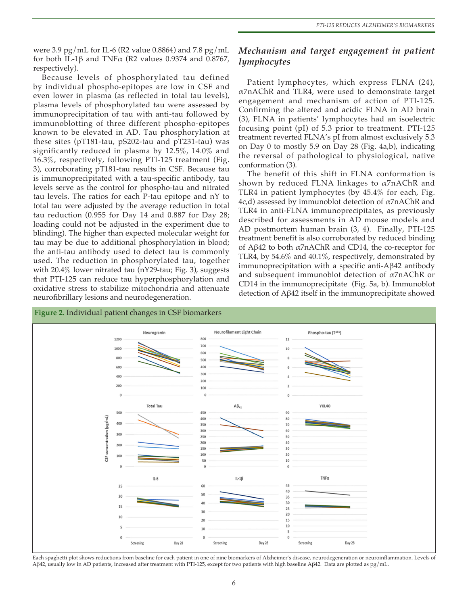were 3.9 pg/mL for IL-6 (R2 value 0.8864) and 7.8 pg/mL for both IL-1 $\beta$  and TNF $\alpha$  (R2 values 0.9374 and 0.8767, respectively).

Because levels of phosphorylated tau defined by individual phospho-epitopes are low in CSF and even lower in plasma (as reflected in total tau levels), plasma levels of phosphorylated tau were assessed by immunoprecipitation of tau with anti-tau followed by immunoblotting of three different phospho-epitopes known to be elevated in AD. Tau phosphorylation at these sites (pT181-tau, pS202-tau and pT231-tau) was significantly reduced in plasma by 12.5%, 14.0% and 16.3%, respectively, following PTI-125 treatment (Fig. 3), corroborating pT181-tau results in CSF. Because tau is immunoprecipitated with a tau-specific antibody, tau levels serve as the control for phospho-tau and nitrated tau levels. The ratios for each P-tau epitope and nY to total tau were adjusted by the average reduction in total tau reduction (0.955 for Day 14 and 0.887 for Day 28; loading could not be adjusted in the experiment due to blinding). The higher than expected molecular weight for tau may be due to additional phosphorylation in blood; the anti-tau antibody used to detect tau is commonly used. The reduction in phosphorylated tau, together with 20.4% lower nitrated tau (nY29-tau; Fig. 3), suggests that PTI-125 can reduce tau hyperphosphorylation and oxidative stress to stabilize mitochondria and attenuate neurofibrillary lesions and neurodegeneration.

# *Mechanism and target engagement in patient lymphocytes*

Patient lymphocytes, which express FLNA (24),  $\alpha$ 7nAChR and TLR4, were used to demonstrate target engagement and mechanism of action of PTI-125. Confirming the altered and acidic FLNA in AD brain (3), FLNA in patients' lymphocytes had an isoelectric focusing point (pI) of 5.3 prior to treatment. PTI-125 treatment reverted FLNA's pI from almost exclusively 5.3 on Day 0 to mostly 5.9 on Day 28 (Fig. 4a,b), indicating the reversal of pathological to physiological, native conformation (3).

The benefit of this shift in FLNA conformation is shown by reduced FLNA linkages to  $\alpha$ 7nAChR and TLR4 in patient lymphocytes (by 45.4% for each, Fig. 4c,d) assessed by immunoblot detection of α7nAChR and TLR4 in anti-FLNA immunoprecipitates, as previously described for assessments in AD mouse models and AD postmortem human brain (3, 4). Finally, PTI-125 treatment benefit is also corroborated by reduced binding of Aβ42 to both α7nAChR and CD14, the co-receptor for TLR4, by  $54.6\%$  and  $40.1\%$ , respectively, demonstrated by immunoprecipitation with a specific anti-Aβ42 antibody and subsequent immunoblot detection of  $\alpha$ 7nAChR or CD14 in the immunoprecipitate (Fig. 5a, b). Immunoblot detection of Aβ42 itself in the immunoprecipitate showed



Each spaghetti plot shows reductions from baseline for each patient in one of nine biomarkers of Alzheimer's disease, neurodegeneration or neuroinflammation. Levels of Aβ42, usually low in AD patients, increased after treatment with PTI-125, except for two patients with high baseline Aβ42. Data are plotted as pg/mL.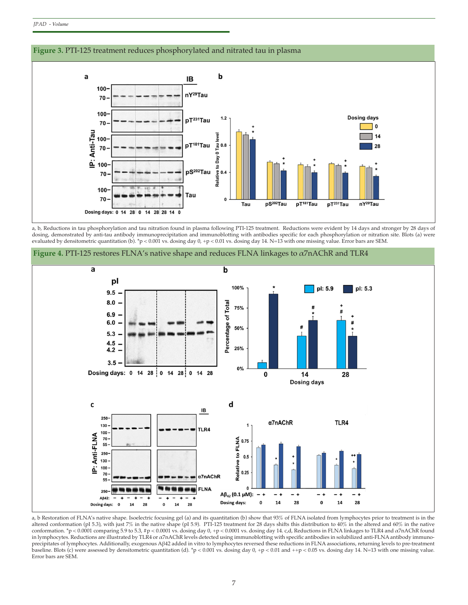

a, b, Reductions in tau phosphorylation and tau nitration found in plasma following PTI-125 treatment. Reductions were evident by 14 days and stronger by 28 days of dosing, demonstrated by anti-tau antibody immunoprecipitation and immunoblotting with antibodies specific for each phosphorylation or nitration site. Blots (a) were evaluated by densitometric quantitation (b). \*p < 0.001 vs. dosing day 0, +p < 0.01 vs. dosing day 14. N=13 with one missing value. Error bars are SEM.



**Figure 4.** PTI-125 restores FLNA's native shape and reduces FLNA linkages to α7nAChR and TLR4

a, b Restoration of FLNA's native shape. Isoelectric focusing gel (a) and its quantitation (b) show that 93% of FLNA isolated from lymphocytes prior to treatment is in the altered conformation (pI 5.3), with just 7% in the native shape (pI 5.9). PTI-125 treatment for 28 days shifts this distribution to 40% in the altered and 60% in the native conformation. \*p < 0.0001 comparing 5.9 to 5.3, #p < 0.0001 vs. dosing day 0, +p < 0.0001 vs. dosing day 14. c,d, Reductions in FLNA linkages to TLR4 and α7nAChR found in lymphocytes. Reductions are illustrated by TLR4 or α7nAChR levels detected using immunoblotting with specific antibodies in solubilized anti-FLNA antibody immunoprecipitates of lymphocytes. Additionally, exogenous Aβ42 added in vitro to lymphocytes reversed these reductions in FLNA associations, returning levels to pre-treatment baseline. Blots (c) were assessed by densitometric quantitation (d). \*p < 0.001 vs. dosing day 0, +p < 0.01 and ++p < 0.05 vs. dosing day 14. N=13 with one missing value. Error bars are SEM.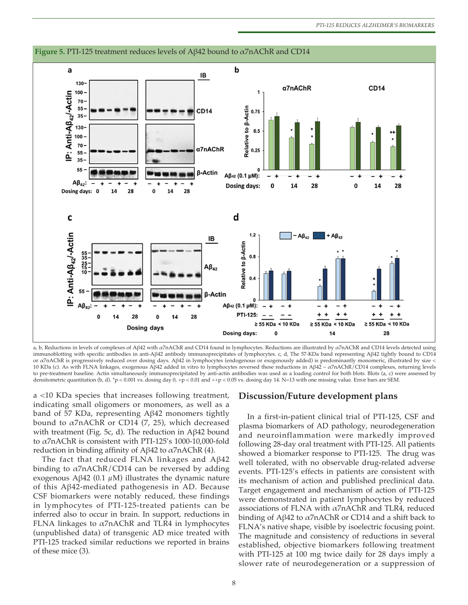

a, b, Reductions in levels of complexes of Aβ42 with α7nAChR and CD14 found in lymphocytes. Reductions are illustrated by α7nAChR and CD14 levels detected using immunoblotting with specific antibodies in anti-Aβ42 antibody immunoprecipitates of lymphocytes. c, d, The 57-KDa band representing Aβ42 tightly bound to CD14 or α7nAChR is progressively reduced over dosing days. Aβ42 in lymphocytes (endogenous or exogenously added) is predominantly monomeric, illustrated by size < 10 KDa (c). As with FLNA linkages, exogenous Aβ42 added in vitro to lymphocytes reversed these reductions in Aβ42 –  $\alpha$ 7nAChR/CD14 complexes, returning levels to pre-treatment baseline. Actin simultaneously immunoprecipitated by anti-actin antibodies was used as a loading control for both blots. Blots (a, c) were assessed by densitometric quantitation (b, d). \*p < 0.001 vs. dosing day 0, +p < 0.01 and ++p < 0.05 vs. dosing day 14. N=13 with one missing value. Error bars are SEM.

a <10 KDa species that increases following treatment, indicating small oligomers or monomers, as well as a band of 57 KDa, representing Aβ42 monomers tightly bound to  $\alpha$ 7nAChR or CD14 (7, 25), which decreased with treatment (Fig. 5c, d). The reduction in Aβ42 bound to α7nAChR is consistent with PTI-125's 1000-10,000-fold reduction in binding affinity of Aβ42 to  $α7nAChR$  (4).

The fact that reduced FLNA linkages and Aβ42 binding to  $\alpha$ 7nAChR/CD14 can be reversed by adding exogenous Aβ42 (0.1  $\mu$ M) illustrates the dynamic nature of this Aβ42-mediated pathogenesis in AD. Because CSF biomarkers were notably reduced, these findings in lymphocytes of PTI-125-treated patients can be inferred also to occur in brain. In support, reductions in FLNA linkages to  $\alpha$ 7nAChR and TLR4 in lymphocytes (unpublished data) of transgenic AD mice treated with PTI-125 tracked similar reductions we reported in brains of these mice (3).

#### **Discussion/Future development plans**

In a first-in-patient clinical trial of PTI-125, CSF and plasma biomarkers of AD pathology, neurodegeneration and neuroinflammation were markedly improved following 28-day oral treatment with PTI-125. All patients showed a biomarker response to PTI-125. The drug was well tolerated, with no observable drug-related adverse events. PTI-125's effects in patients are consistent with its mechanism of action and published preclinical data. Target engagement and mechanism of action of PTI-125 were demonstrated in patient lymphocytes by reduced associations of FLNA with  $\alpha$ 7nAChR and TLR4, reduced binding of Aβ42 to α7nAChR or CD14 and a shift back to FLNA's native shape, visible by isoelectric focusing point. The magnitude and consistency of reductions in several established, objective biomarkers following treatment with PTI-125 at 100 mg twice daily for 28 days imply a slower rate of neurodegeneration or a suppression of